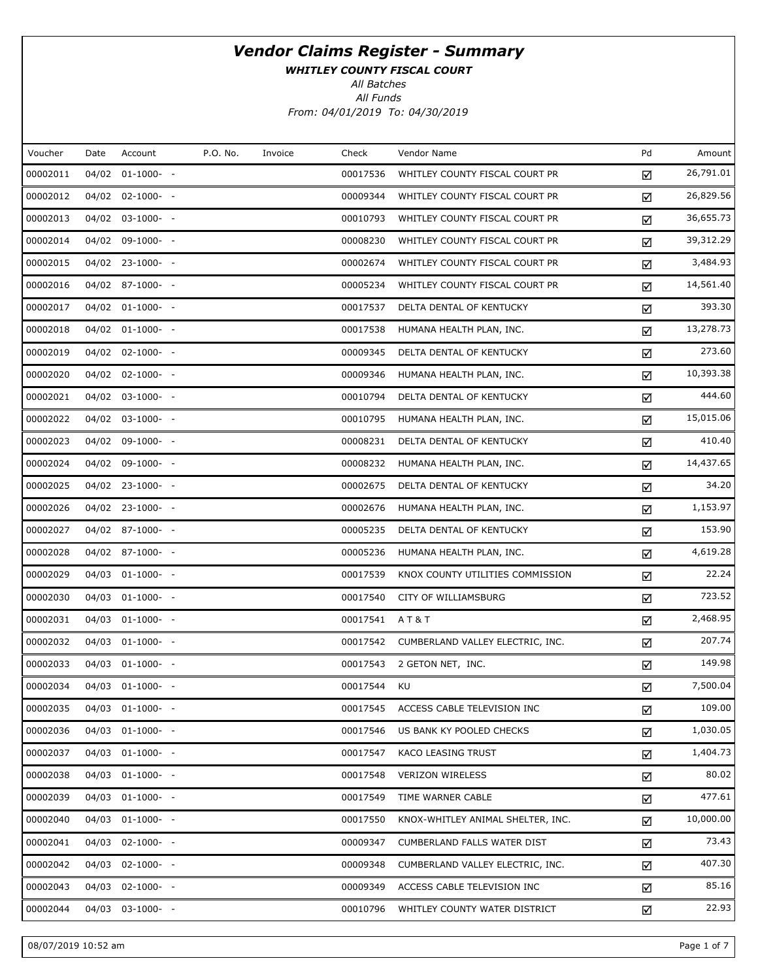WHITLEY COUNTY FISCAL COURT

All Batches

| Voucher  | Date | Account               | P.O. No. | Invoice | Check    | Vendor Name                       | Pd | Amount    |
|----------|------|-----------------------|----------|---------|----------|-----------------------------------|----|-----------|
| 00002011 |      | 04/02 01-1000- -      |          |         | 00017536 | WHITLEY COUNTY FISCAL COURT PR    | ☑  | 26,791.01 |
| 00002012 |      | 04/02 02-1000- -      |          |         | 00009344 | WHITLEY COUNTY FISCAL COURT PR    | ☑  | 26,829.56 |
| 00002013 |      | $04/02$ $03-1000$ - - |          |         | 00010793 | WHITLEY COUNTY FISCAL COURT PR    | ☑  | 36,655.73 |
| 00002014 |      | 04/02 09-1000- -      |          |         | 00008230 | WHITLEY COUNTY FISCAL COURT PR    | ☑  | 39,312.29 |
| 00002015 |      | 04/02 23-1000- -      |          |         | 00002674 | WHITLEY COUNTY FISCAL COURT PR    | ☑  | 3,484.93  |
| 00002016 |      | 04/02 87-1000- -      |          |         | 00005234 | WHITLEY COUNTY FISCAL COURT PR    | ☑  | 14,561.40 |
| 00002017 |      | 04/02 01-1000- -      |          |         | 00017537 | DELTA DENTAL OF KENTUCKY          | ☑  | 393.30    |
| 00002018 |      | 04/02 01-1000- -      |          |         | 00017538 | HUMANA HEALTH PLAN, INC.          | ☑  | 13,278.73 |
| 00002019 |      | 04/02 02-1000- -      |          |         | 00009345 | DELTA DENTAL OF KENTUCKY          | ☑  | 273.60    |
| 00002020 |      | 04/02 02-1000- -      |          |         | 00009346 | HUMANA HEALTH PLAN, INC.          | ☑  | 10,393.38 |
| 00002021 |      | 04/02 03-1000- -      |          |         | 00010794 | DELTA DENTAL OF KENTUCKY          | ☑  | 444.60    |
| 00002022 |      | 04/02 03-1000- -      |          |         | 00010795 | HUMANA HEALTH PLAN, INC.          | ☑  | 15,015.06 |
| 00002023 |      | 04/02 09-1000- -      |          |         | 00008231 | DELTA DENTAL OF KENTUCKY          | ☑  | 410.40    |
| 00002024 |      | 04/02 09-1000- -      |          |         | 00008232 | HUMANA HEALTH PLAN, INC.          | ☑  | 14,437.65 |
| 00002025 |      | 04/02 23-1000- -      |          |         | 00002675 | DELTA DENTAL OF KENTUCKY          | ☑  | 34.20     |
| 00002026 |      | 04/02 23-1000- -      |          |         | 00002676 | HUMANA HEALTH PLAN, INC.          | ☑  | 1,153.97  |
| 00002027 |      | 04/02 87-1000- -      |          |         | 00005235 | DELTA DENTAL OF KENTUCKY          | ☑  | 153.90    |
| 00002028 |      | 04/02 87-1000- -      |          |         | 00005236 | HUMANA HEALTH PLAN, INC.          | ☑  | 4,619.28  |
| 00002029 |      | 04/03 01-1000- -      |          |         | 00017539 | KNOX COUNTY UTILITIES COMMISSION  | ☑  | 22.24     |
| 00002030 |      | 04/03 01-1000- -      |          |         | 00017540 | CITY OF WILLIAMSBURG              | ☑  | 723.52    |
| 00002031 |      | 04/03 01-1000- -      |          |         | 00017541 | AT&T                              | ☑  | 2,468.95  |
| 00002032 |      | 04/03 01-1000- -      |          |         | 00017542 | CUMBERLAND VALLEY ELECTRIC, INC.  | ☑  | 207.74    |
| 00002033 |      | 04/03 01-1000- -      |          |         | 00017543 | 2 GETON NET, INC.                 | ☑  | 149.98    |
| 00002034 |      | 04/03 01-1000- -      |          |         | 00017544 | KU                                | ☑  | 7,500.04  |
| 00002035 |      | 04/03 01-1000- -      |          |         | 00017545 | ACCESS CABLE TELEVISION INC       | ☑  | 109.00    |
| 00002036 |      | 04/03 01-1000- -      |          |         | 00017546 | US BANK KY POOLED CHECKS          | ☑  | 1,030.05  |
| 00002037 |      | 04/03 01-1000- -      |          |         | 00017547 | KACO LEASING TRUST                | ☑  | 1,404.73  |
| 00002038 |      | 04/03 01-1000- -      |          |         | 00017548 | <b>VERIZON WIRELESS</b>           | ☑  | 80.02     |
| 00002039 |      | $04/03$ $01-1000$ - - |          |         | 00017549 | TIME WARNER CABLE                 | ☑  | 477.61    |
| 00002040 |      | 04/03 01-1000- -      |          |         | 00017550 | KNOX-WHITLEY ANIMAL SHELTER, INC. | ☑  | 10,000.00 |
| 00002041 |      | 04/03 02-1000- -      |          |         | 00009347 | CUMBERLAND FALLS WATER DIST       | ☑  | 73.43     |
| 00002042 |      | 04/03 02-1000- -      |          |         | 00009348 | CUMBERLAND VALLEY ELECTRIC, INC.  | ☑  | 407.30    |
| 00002043 |      | 04/03 02-1000- -      |          |         | 00009349 | ACCESS CABLE TELEVISION INC       | ☑  | 85.16     |
| 00002044 |      | 04/03 03-1000- -      |          |         | 00010796 | WHITLEY COUNTY WATER DISTRICT     | ☑  | 22.93     |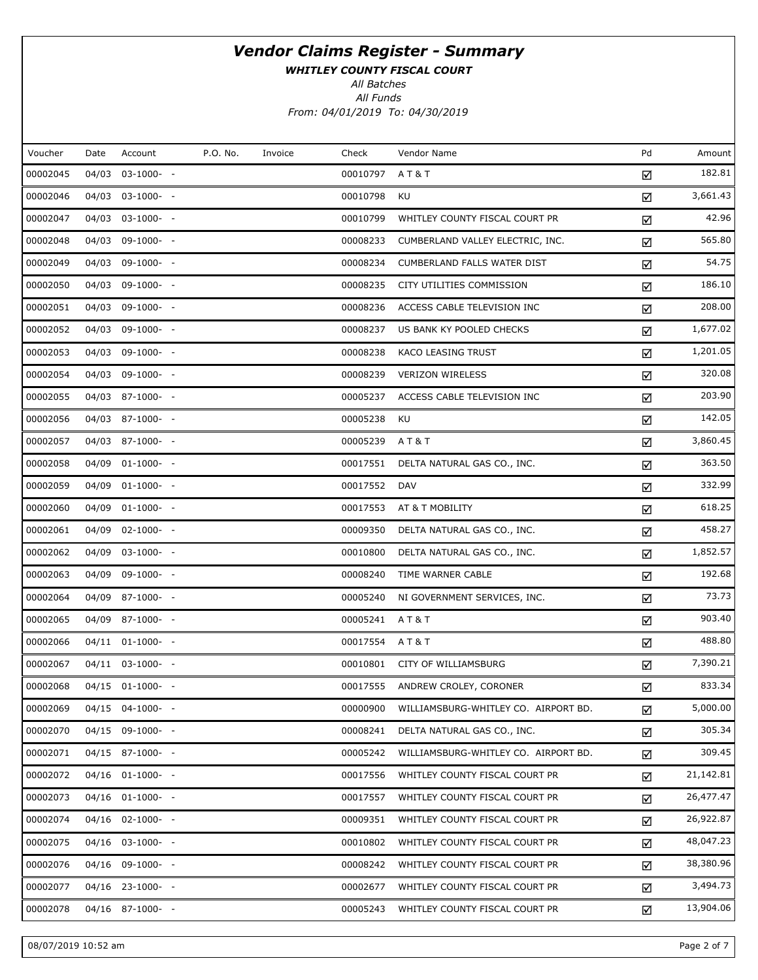WHITLEY COUNTY FISCAL COURT

All Batches

All Funds From: 04/01/2019 To: 04/30/2019

| Voucher  | Date | Account               | P.O. No. | Invoice | Check    | Vendor Name                          | Pd | Amount    |
|----------|------|-----------------------|----------|---------|----------|--------------------------------------|----|-----------|
| 00002045 |      | 04/03 03-1000- -      |          |         | 00010797 | <b>AT&amp;T</b>                      | ☑  | 182.81    |
| 00002046 |      | 04/03 03-1000- -      |          |         | 00010798 | KU                                   | ☑  | 3,661.43  |
| 00002047 |      | 04/03 03-1000- -      |          |         | 00010799 | WHITLEY COUNTY FISCAL COURT PR       | ☑  | 42.96     |
| 00002048 |      | 04/03 09-1000- -      |          |         | 00008233 | CUMBERLAND VALLEY ELECTRIC, INC.     | ☑  | 565.80    |
| 00002049 |      | 04/03 09-1000- -      |          |         | 00008234 | <b>CUMBERLAND FALLS WATER DIST</b>   | ☑  | 54.75     |
| 00002050 |      | 04/03 09-1000- -      |          |         | 00008235 | CITY UTILITIES COMMISSION            | ☑  | 186.10    |
| 00002051 |      | 04/03 09-1000- -      |          |         | 00008236 | ACCESS CABLE TELEVISION INC          | ☑  | 208.00    |
| 00002052 |      | 04/03 09-1000- -      |          |         | 00008237 | US BANK KY POOLED CHECKS             | ☑  | 1,677.02  |
| 00002053 |      | 04/03 09-1000- -      |          |         | 00008238 | KACO LEASING TRUST                   | ☑  | 1,201.05  |
| 00002054 |      | 04/03 09-1000- -      |          |         | 00008239 | <b>VERIZON WIRELESS</b>              | ☑  | 320.08    |
| 00002055 |      | 04/03 87-1000- -      |          |         | 00005237 | ACCESS CABLE TELEVISION INC          | ☑  | 203.90    |
| 00002056 |      | 04/03 87-1000- -      |          |         | 00005238 | KU                                   | ☑  | 142.05    |
| 00002057 |      | 04/03 87-1000- -      |          |         | 00005239 | <b>AT&amp;T</b>                      | ☑  | 3,860.45  |
| 00002058 |      | 04/09 01-1000- -      |          |         | 00017551 | DELTA NATURAL GAS CO., INC.          | ☑  | 363.50    |
| 00002059 |      | 04/09 01-1000- -      |          |         | 00017552 | DAV                                  | ☑  | 332.99    |
| 00002060 |      | 04/09 01-1000- -      |          |         | 00017553 | AT & T MOBILITY                      | ☑  | 618.25    |
| 00002061 |      | 04/09 02-1000- -      |          |         | 00009350 | DELTA NATURAL GAS CO., INC.          | ☑  | 458.27    |
| 00002062 |      | 04/09 03-1000- -      |          |         | 00010800 | DELTA NATURAL GAS CO., INC.          | ☑  | 1,852.57  |
| 00002063 |      | 04/09 09-1000- -      |          |         | 00008240 | TIME WARNER CABLE                    | ☑  | 192.68    |
| 00002064 |      | 04/09 87-1000- -      |          |         | 00005240 | NI GOVERNMENT SERVICES, INC.         | ☑  | 73.73     |
| 00002065 |      | 04/09 87-1000- -      |          |         | 00005241 | A T & T                              | ☑  | 903.40    |
| 00002066 |      | 04/11 01-1000- -      |          |         | 00017554 | <b>AT&amp;T</b>                      | ☑  | 488.80    |
| 00002067 |      | 04/11 03-1000- -      |          |         | 00010801 | CITY OF WILLIAMSBURG                 | ☑  | 7,390.21  |
| 00002068 |      | 04/15 01-1000- -      |          |         | 00017555 | ANDREW CROLEY, CORONER               | ☑  | 833.34    |
| 00002069 |      | 04/15 04-1000- -      |          |         | 00000900 | WILLIAMSBURG-WHITLEY CO. AIRPORT BD. | ☑  | 5,000.00  |
| 00002070 |      | 04/15 09-1000- -      |          |         | 00008241 | DELTA NATURAL GAS CO., INC.          | ☑  | 305.34    |
| 00002071 |      | 04/15 87-1000- -      |          |         | 00005242 | WILLIAMSBURG-WHITLEY CO. AIRPORT BD. | ☑  | 309.45    |
| 00002072 |      | $04/16$ $01-1000$ - - |          |         | 00017556 | WHITLEY COUNTY FISCAL COURT PR       | ☑  | 21,142.81 |
| 00002073 |      | $04/16$ $01-1000$ - - |          |         | 00017557 | WHITLEY COUNTY FISCAL COURT PR       | ☑  | 26,477.47 |
| 00002074 |      | $04/16$ 02-1000- -    |          |         | 00009351 | WHITLEY COUNTY FISCAL COURT PR       | ☑  | 26,922.87 |
| 00002075 |      | $04/16$ 03-1000- -    |          |         | 00010802 | WHITLEY COUNTY FISCAL COURT PR       | ☑  | 48,047.23 |
| 00002076 |      | 04/16 09-1000- -      |          |         | 00008242 | WHITLEY COUNTY FISCAL COURT PR       | ☑  | 38,380.96 |
| 00002077 |      | $04/16$ 23-1000- -    |          |         | 00002677 | WHITLEY COUNTY FISCAL COURT PR       | ☑  | 3,494.73  |
| 00002078 |      | 04/16 87-1000- -      |          |         | 00005243 | WHITLEY COUNTY FISCAL COURT PR       | ☑  | 13,904.06 |

08/07/2019 10:52 am Page 2 of 7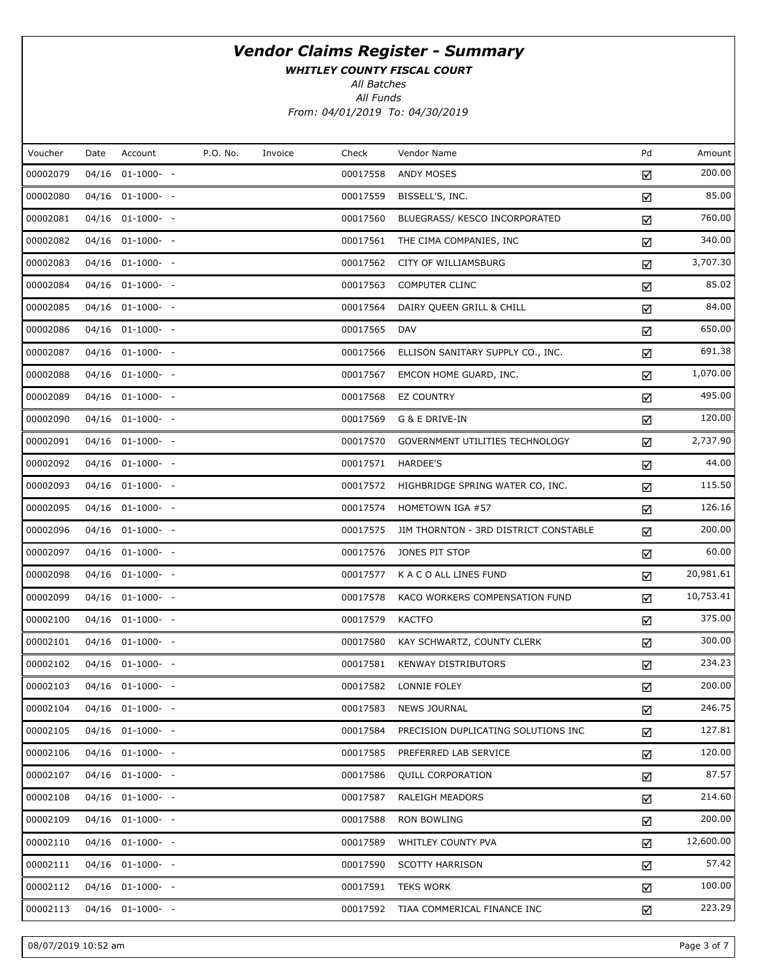WHITLEY COUNTY FISCAL COURT

All Batches

| Voucher  | Date  | Account               | P.O. No. | Invoice | Check    | Vendor Name                           | Pd | Amount    |
|----------|-------|-----------------------|----------|---------|----------|---------------------------------------|----|-----------|
| 00002079 | 04/16 | $01-1000-$ -          |          |         | 00017558 | ANDY MOSES                            | ☑  | 200.00    |
| 00002080 |       | 04/16 01-1000- -      |          |         | 00017559 | BISSELL'S, INC.                       | ☑  | 85.00     |
| 00002081 |       | $04/16$ $01-1000$ - - |          |         | 00017560 | BLUEGRASS/ KESCO INCORPORATED         | ☑  | 760.00    |
| 00002082 |       | 04/16 01-1000- -      |          |         | 00017561 | THE CIMA COMPANIES, INC               | ☑  | 340.00    |
| 00002083 |       | $04/16$ $01-1000$ - - |          |         | 00017562 | CITY OF WILLIAMSBURG                  | ☑  | 3,707.30  |
| 00002084 |       | 04/16 01-1000- -      |          |         | 00017563 | <b>COMPUTER CLINC</b>                 | ☑  | 85.02     |
| 00002085 |       | 04/16 01-1000- -      |          |         | 00017564 | DAIRY QUEEN GRILL & CHILL             | ☑  | 84.00     |
| 00002086 |       | 04/16 01-1000- -      |          |         | 00017565 | <b>DAV</b>                            | ☑  | 650.00    |
| 00002087 |       | $04/16$ $01-1000$ - - |          |         | 00017566 | ELLISON SANITARY SUPPLY CO., INC.     | ☑  | 691.38    |
| 00002088 |       | 04/16 01-1000- -      |          |         | 00017567 | EMCON HOME GUARD, INC.                | ☑  | 1,070.00  |
| 00002089 |       | $04/16$ $01-1000$ - - |          |         | 00017568 | <b>EZ COUNTRY</b>                     | ☑  | 495.00    |
| 00002090 |       | 04/16 01-1000- -      |          |         | 00017569 | G & E DRIVE-IN                        | ☑  | 120.00    |
| 00002091 |       | $04/16$ $01-1000$ - - |          |         | 00017570 | GOVERNMENT UTILITIES TECHNOLOGY       | ☑  | 2,737.90  |
| 00002092 |       | 04/16 01-1000- -      |          |         | 00017571 | HARDEE'S                              | ☑  | 44.00     |
| 00002093 |       | $04/16$ $01-1000$ - - |          |         | 00017572 | HIGHBRIDGE SPRING WATER CO, INC.      | ☑  | 115.50    |
| 00002095 |       | 04/16 01-1000- -      |          |         | 00017574 | HOMETOWN IGA #57                      | ☑  | 126.16    |
| 00002096 |       | $04/16$ $01-1000$ - - |          |         | 00017575 | JIM THORNTON - 3RD DISTRICT CONSTABLE | ☑  | 200.00    |
| 00002097 |       | 04/16 01-1000- -      |          |         | 00017576 | JONES PIT STOP                        | ☑  | 60.00     |
| 00002098 |       | $04/16$ $01-1000$ - - |          |         | 00017577 | K A C O ALL LINES FUND                | ☑  | 20,981.61 |
| 00002099 |       | 04/16 01-1000- -      |          |         | 00017578 | KACO WORKERS COMPENSATION FUND        | ☑  | 10,753.41 |
| 00002100 |       | 04/16 01-1000- -      |          |         | 00017579 | <b>KACTFO</b>                         | ☑  | 375.00    |
| 00002101 |       | 04/16 01-1000- -      |          |         | 00017580 | KAY SCHWARTZ, COUNTY CLERK            | ☑  | 300.00    |
| 00002102 |       | 04/16 01-1000- -      |          |         | 00017581 | <b>KENWAY DISTRIBUTORS</b>            | ☑  | 234.23    |
| 00002103 |       | 04/16 01-1000- -      |          |         | 00017582 | LONNIE FOLEY                          | ☑  | 200.00    |
| 00002104 |       | 04/16 01-1000- -      |          |         | 00017583 | <b>NEWS JOURNAL</b>                   | ☑  | 246.75    |
| 00002105 |       | $04/16$ $01-1000$ - - |          |         | 00017584 | PRECISION DUPLICATING SOLUTIONS INC   | ☑  | 127.81    |
| 00002106 |       | $04/16$ $01-1000-$ -  |          |         | 00017585 | PREFERRED LAB SERVICE                 | ☑  | 120.00    |
| 00002107 |       | $04/16$ $01-1000-$ -  |          |         | 00017586 | <b>QUILL CORPORATION</b>              | ☑  | 87.57     |
| 00002108 |       | $04/16$ $01-1000-$ -  |          |         | 00017587 | <b>RALEIGH MEADORS</b>                | ☑  | 214.60    |
| 00002109 |       | $04/16$ $01-1000$ - - |          |         | 00017588 | <b>RON BOWLING</b>                    | ☑  | 200.00    |
| 00002110 |       | $04/16$ $01-1000-$ -  |          |         | 00017589 | WHITLEY COUNTY PVA                    | ☑  | 12,600.00 |
| 00002111 |       | $04/16$ $01-1000$ - - |          |         | 00017590 | <b>SCOTTY HARRISON</b>                | ☑  | 57.42     |
| 00002112 |       | $04/16$ $01-1000-$ -  |          |         | 00017591 | <b>TEKS WORK</b>                      | ☑  | 100.00    |
| 00002113 |       | $04/16$ $01-1000$ - - |          |         | 00017592 | TIAA COMMERICAL FINANCE INC           | ☑  | 223.29    |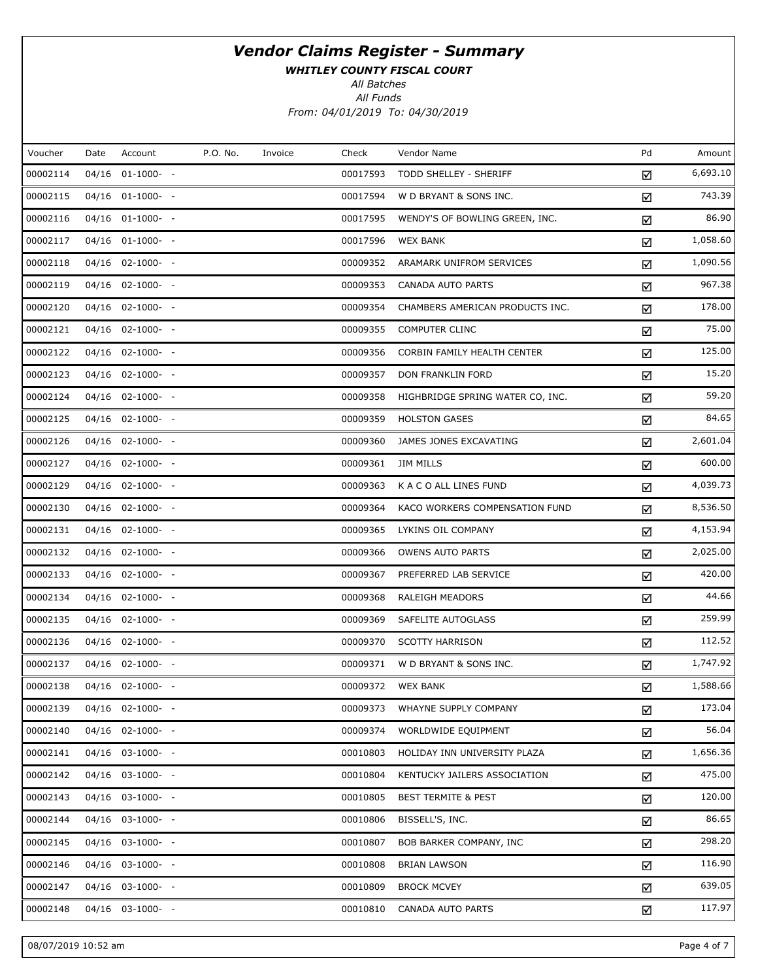WHITLEY COUNTY FISCAL COURT

All Batches

All Funds From: 04/01/2019 To: 04/30/2019

| Voucher  | Date | Account               | P.O. No. | Invoice | Check    | Vendor Name                      | Pd | Amount   |
|----------|------|-----------------------|----------|---------|----------|----------------------------------|----|----------|
| 00002114 |      | $04/16$ $01-1000$ - - |          |         | 00017593 | TODD SHELLEY - SHERIFF           | ☑  | 6,693.10 |
| 00002115 |      | 04/16 01-1000- -      |          |         | 00017594 | W D BRYANT & SONS INC.           | ☑  | 743.39   |
| 00002116 |      | $04/16$ $01-1000-$ -  |          |         | 00017595 | WENDY'S OF BOWLING GREEN, INC.   | ☑  | 86.90    |
| 00002117 |      | 04/16 01-1000- -      |          |         | 00017596 | <b>WEX BANK</b>                  | ☑  | 1,058.60 |
| 00002118 |      | $04/16$ 02-1000- -    |          |         | 00009352 | ARAMARK UNIFROM SERVICES         | ☑  | 1,090.56 |
| 00002119 |      | 04/16 02-1000- -      |          |         | 00009353 | <b>CANADA AUTO PARTS</b>         | ☑  | 967.38   |
| 00002120 |      | $04/16$ 02-1000- -    |          |         | 00009354 | CHAMBERS AMERICAN PRODUCTS INC.  | ☑  | 178.00   |
| 00002121 |      | $04/16$ 02-1000- -    |          |         | 00009355 | <b>COMPUTER CLINC</b>            | ☑  | 75.00    |
| 00002122 |      | $04/16$ 02-1000- -    |          |         | 00009356 | CORBIN FAMILY HEALTH CENTER      | ☑  | 125.00   |
| 00002123 |      | $04/16$ 02-1000- -    |          |         | 00009357 | DON FRANKLIN FORD                | ☑  | 15.20    |
| 00002124 |      | 04/16 02-1000- -      |          |         | 00009358 | HIGHBRIDGE SPRING WATER CO, INC. | ☑  | 59.20    |
| 00002125 |      | $04/16$ 02-1000- -    |          |         | 00009359 | <b>HOLSTON GASES</b>             | ☑  | 84.65    |
| 00002126 |      | 04/16 02-1000- -      |          |         | 00009360 | JAMES JONES EXCAVATING           | ☑  | 2,601.04 |
| 00002127 |      | $04/16$ 02-1000- -    |          |         | 00009361 | JIM MILLS                        | ☑  | 600.00   |
| 00002129 |      | 04/16 02-1000- -      |          |         | 00009363 | K A C O ALL LINES FUND           | ☑  | 4,039.73 |
| 00002130 |      | $04/16$ 02-1000- -    |          |         | 00009364 | KACO WORKERS COMPENSATION FUND   | ☑  | 8,536.50 |
| 00002131 |      | 04/16 02-1000- -      |          |         | 00009365 | LYKINS OIL COMPANY               | ☑  | 4,153.94 |
| 00002132 |      | $04/16$ 02-1000- -    |          |         | 00009366 | <b>OWENS AUTO PARTS</b>          | ☑  | 2,025.00 |
| 00002133 |      | $04/16$ 02-1000- -    |          |         | 00009367 | PREFERRED LAB SERVICE            | ☑  | 420.00   |
| 00002134 |      | $04/16$ 02-1000- -    |          |         | 00009368 | RALEIGH MEADORS                  | ☑  | 44.66    |
| 00002135 |      | 04/16 02-1000- -      |          |         | 00009369 | SAFELITE AUTOGLASS               | ☑  | 259.99   |
| 00002136 |      | 04/16 02-1000- -      |          |         | 00009370 | <b>SCOTTY HARRISON</b>           | ☑  | 112.52   |
| 00002137 |      | 04/16 02-1000- -      |          |         | 00009371 | W D BRYANT & SONS INC.           | ☑  | 1,747.92 |
| 00002138 |      | 04/16 02-1000- -      |          |         | 00009372 | WEX BANK                         | ☑  | 1,588.66 |
| 00002139 |      | 04/16 02-1000- -      |          |         | 00009373 | WHAYNE SUPPLY COMPANY            | ☑  | 173.04   |
| 00002140 |      | $04/16$ 02-1000- -    |          |         | 00009374 | WORLDWIDE EQUIPMENT              | ☑  | 56.04    |
| 00002141 |      | 04/16 03-1000- -      |          |         | 00010803 | HOLIDAY INN UNIVERSITY PLAZA     | ☑  | 1,656.36 |
| 00002142 |      | $04/16$ 03-1000- -    |          |         | 00010804 | KENTUCKY JAILERS ASSOCIATION     | ☑  | 475.00   |
| 00002143 |      | 04/16 03-1000- -      |          |         | 00010805 | <b>BEST TERMITE &amp; PEST</b>   | ☑  | 120.00   |
| 00002144 |      | $04/16$ 03-1000- -    |          |         | 00010806 | BISSELL'S, INC.                  | ☑  | 86.65    |
| 00002145 |      | 04/16 03-1000- -      |          |         | 00010807 | BOB BARKER COMPANY, INC          | ☑  | 298.20   |
| 00002146 |      | $04/16$ 03-1000- -    |          |         | 00010808 | <b>BRIAN LAWSON</b>              | ☑  | 116.90   |
| 00002147 |      | 04/16 03-1000- -      |          |         | 00010809 | <b>BROCK MCVEY</b>               | ☑  | 639.05   |
| 00002148 |      | $04/16$ 03-1000- -    |          |         | 00010810 | CANADA AUTO PARTS                | ☑  | 117.97   |

08/07/2019 10:52 am Page 4 of 7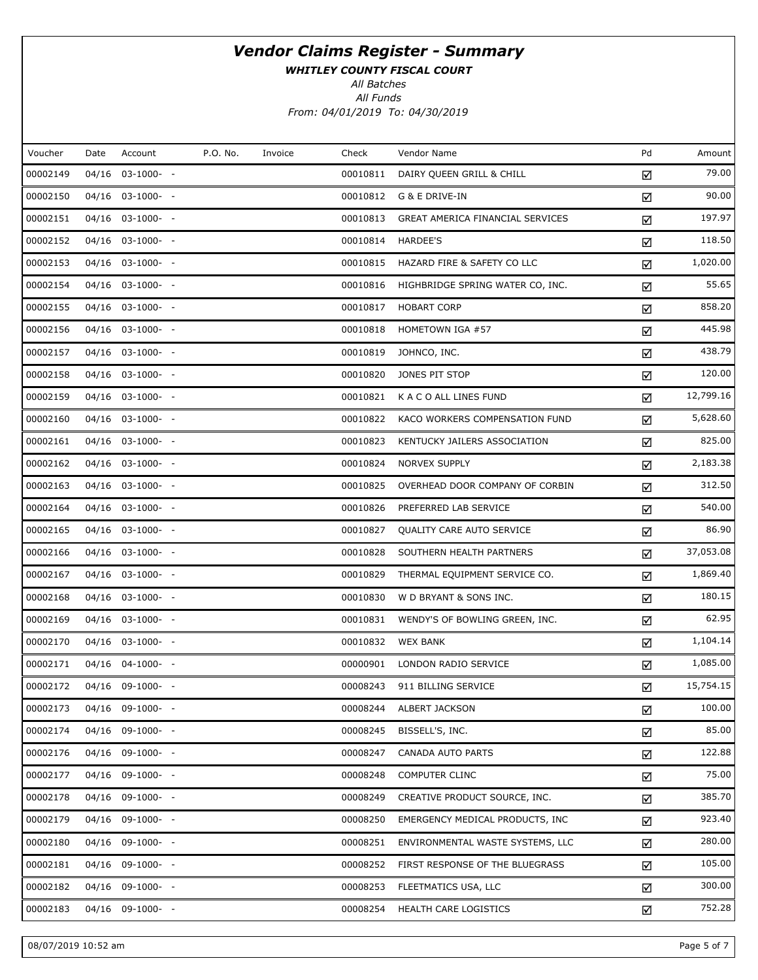WHITLEY COUNTY FISCAL COURT

All Batches

| Voucher  | Date  | Account            | P.O. No. | Invoice | Check    | Vendor Name                      | Pd | Amount    |
|----------|-------|--------------------|----------|---------|----------|----------------------------------|----|-----------|
| 00002149 | 04/16 | $03-1000- -$       |          |         | 00010811 | DAIRY QUEEN GRILL & CHILL        | ☑  | 79.00     |
| 00002150 |       | 04/16 03-1000- -   |          |         | 00010812 | G & E DRIVE-IN                   | ☑  | 90.00     |
| 00002151 |       | $04/16$ 03-1000- - |          |         | 00010813 | GREAT AMERICA FINANCIAL SERVICES | ☑  | 197.97    |
| 00002152 |       | 04/16 03-1000- -   |          |         | 00010814 | HARDEE'S                         | ☑  | 118.50    |
| 00002153 |       | $04/16$ 03-1000- - |          |         | 00010815 | HAZARD FIRE & SAFETY CO LLC      | ☑  | 1,020.00  |
| 00002154 |       | $04/16$ 03-1000- - |          |         | 00010816 | HIGHBRIDGE SPRING WATER CO, INC. | ☑  | 55.65     |
| 00002155 |       | $04/16$ 03-1000- - |          |         | 00010817 | <b>HOBART CORP</b>               | ☑  | 858.20    |
| 00002156 |       | $04/16$ 03-1000- - |          |         | 00010818 | HOMETOWN IGA #57                 | ☑  | 445.98    |
| 00002157 |       | $04/16$ 03-1000- - |          |         | 00010819 | JOHNCO, INC.                     | ☑  | 438.79    |
| 00002158 |       | $04/16$ 03-1000- - |          |         | 00010820 | JONES PIT STOP                   | ☑  | 120.00    |
| 00002159 |       | $04/16$ 03-1000- - |          |         | 00010821 | K A C O ALL LINES FUND           | ☑  | 12,799.16 |
| 00002160 |       | $04/16$ 03-1000- - |          |         | 00010822 | KACO WORKERS COMPENSATION FUND   | ☑  | 5,628.60  |
| 00002161 |       | $04/16$ 03-1000- - |          |         | 00010823 | KENTUCKY JAILERS ASSOCIATION     | ☑  | 825.00    |
| 00002162 |       | $04/16$ 03-1000- - |          |         | 00010824 | NORVEX SUPPLY                    | ☑  | 2,183.38  |
| 00002163 |       | $04/16$ 03-1000- - |          |         | 00010825 | OVERHEAD DOOR COMPANY OF CORBIN  | ☑  | 312.50    |
| 00002164 |       | 04/16 03-1000- -   |          |         | 00010826 | PREFERRED LAB SERVICE            | ☑  | 540.00    |
| 00002165 |       | $04/16$ 03-1000- - |          |         | 00010827 | QUALITY CARE AUTO SERVICE        | ☑  | 86.90     |
| 00002166 |       | 04/16 03-1000- -   |          |         | 00010828 | SOUTHERN HEALTH PARTNERS         | ☑  | 37,053.08 |
| 00002167 |       | $04/16$ 03-1000- - |          |         | 00010829 | THERMAL EQUIPMENT SERVICE CO.    | ☑  | 1,869.40  |
| 00002168 |       | $04/16$ 03-1000- - |          |         | 00010830 | W D BRYANT & SONS INC.           | ☑  | 180.15    |
| 00002169 |       | 04/16 03-1000- -   |          |         | 00010831 | WENDY'S OF BOWLING GREEN, INC.   | ☑  | 62.95     |
| 00002170 |       | $04/16$ 03-1000- - |          |         | 00010832 | <b>WEX BANK</b>                  | ☑  | 1,104.14  |
| 00002171 |       | 04/16 04-1000- -   |          |         | 00000901 | LONDON RADIO SERVICE             | ☑  | 1,085.00  |
| 00002172 |       | 04/16 09-1000- -   |          |         | 00008243 | 911 BILLING SERVICE              | ☑  | 15,754.15 |
| 00002173 |       | 04/16 09-1000- -   |          |         | 00008244 | ALBERT JACKSON                   | ☑  | 100.00    |
| 00002174 |       | $04/16$ 09-1000- - |          |         | 00008245 | BISSELL'S, INC.                  | ☑  | 85.00     |
| 00002176 |       | 04/16 09-1000- -   |          |         | 00008247 | CANADA AUTO PARTS                | ☑  | 122.88    |
| 00002177 | 04/16 | 09-1000- -         |          |         | 00008248 | <b>COMPUTER CLINC</b>            | ☑  | 75.00     |
| 00002178 |       | 04/16 09-1000- -   |          |         | 00008249 | CREATIVE PRODUCT SOURCE, INC.    | ☑  | 385.70    |
| 00002179 |       | $04/16$ 09-1000- - |          |         | 00008250 | EMERGENCY MEDICAL PRODUCTS, INC  | ☑  | 923.40    |
| 00002180 |       | 04/16 09-1000- -   |          |         | 00008251 | ENVIRONMENTAL WASTE SYSTEMS, LLC | ☑  | 280.00    |
| 00002181 |       | $04/16$ 09-1000- - |          |         | 00008252 | FIRST RESPONSE OF THE BLUEGRASS  | ☑  | 105.00    |
| 00002182 |       | 04/16 09-1000- -   |          |         | 00008253 | FLEETMATICS USA, LLC             | ☑  | 300.00    |
| 00002183 |       | 04/16 09-1000- -   |          |         | 00008254 | HEALTH CARE LOGISTICS            | ☑  | 752.28    |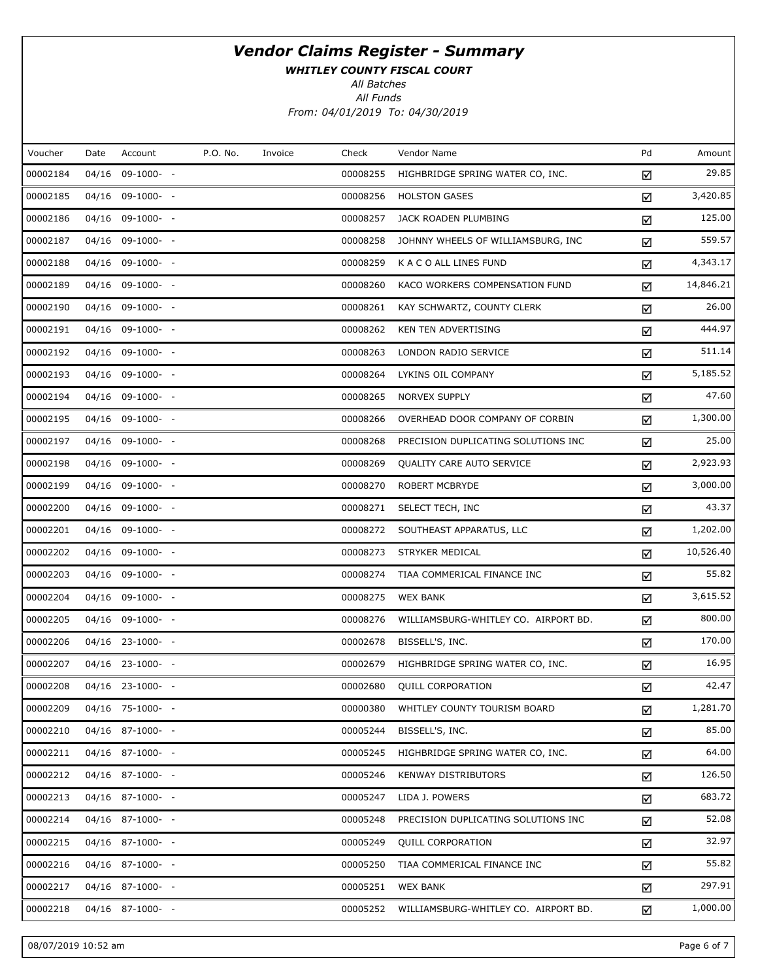WHITLEY COUNTY FISCAL COURT

All Batches

All Funds From: 04/01/2019 To: 04/30/2019

| Voucher  | Date | Account          | P.O. No. | Invoice | Check    | Vendor Name                          | Pd | Amount    |
|----------|------|------------------|----------|---------|----------|--------------------------------------|----|-----------|
| 00002184 |      | 04/16 09-1000- - |          |         | 00008255 | HIGHBRIDGE SPRING WATER CO, INC.     | ☑  | 29.85     |
| 00002185 |      | 04/16 09-1000- - |          |         | 00008256 | <b>HOLSTON GASES</b>                 | ☑  | 3,420.85  |
| 00002186 |      | 04/16 09-1000- - |          |         | 00008257 | JACK ROADEN PLUMBING                 | ☑  | 125.00    |
| 00002187 |      | 04/16 09-1000- - |          |         | 00008258 | JOHNNY WHEELS OF WILLIAMSBURG, INC   | ☑  | 559.57    |
| 00002188 |      | 04/16 09-1000- - |          |         | 00008259 | K A C O ALL LINES FUND               | ☑  | 4,343.17  |
| 00002189 |      | 04/16 09-1000- - |          |         | 00008260 | KACO WORKERS COMPENSATION FUND       | ☑  | 14,846.21 |
| 00002190 |      | 04/16 09-1000- - |          |         | 00008261 | KAY SCHWARTZ, COUNTY CLERK           | ☑  | 26.00     |
| 00002191 |      | 04/16 09-1000- - |          |         | 00008262 | <b>KEN TEN ADVERTISING</b>           | ☑  | 444.97    |
| 00002192 |      | 04/16 09-1000- - |          |         | 00008263 | LONDON RADIO SERVICE                 | ☑  | 511.14    |
| 00002193 |      | 04/16 09-1000- - |          |         | 00008264 | LYKINS OIL COMPANY                   | ☑  | 5,185.52  |
| 00002194 |      | 04/16 09-1000- - |          |         | 00008265 | <b>NORVEX SUPPLY</b>                 | ☑  | 47.60     |
| 00002195 |      | 04/16 09-1000- - |          |         | 00008266 | OVERHEAD DOOR COMPANY OF CORBIN      | ☑  | 1,300.00  |
| 00002197 |      | 04/16 09-1000- - |          |         | 00008268 | PRECISION DUPLICATING SOLUTIONS INC  | ☑  | 25.00     |
| 00002198 |      | 04/16 09-1000- - |          |         | 00008269 | <b>QUALITY CARE AUTO SERVICE</b>     | ☑  | 2,923.93  |
| 00002199 |      | 04/16 09-1000- - |          |         | 00008270 | <b>ROBERT MCBRYDE</b>                | ☑  | 3,000.00  |
| 00002200 |      | 04/16 09-1000- - |          |         | 00008271 | SELECT TECH, INC                     | ☑  | 43.37     |
| 00002201 |      | 04/16 09-1000- - |          |         | 00008272 | SOUTHEAST APPARATUS, LLC             | ☑  | 1,202.00  |
| 00002202 |      | 04/16 09-1000- - |          |         | 00008273 | STRYKER MEDICAL                      | ☑  | 10,526.40 |
| 00002203 |      | 04/16 09-1000- - |          |         | 00008274 | TIAA COMMERICAL FINANCE INC          | ☑  | 55.82     |
| 00002204 |      | 04/16 09-1000- - |          |         | 00008275 | <b>WEX BANK</b>                      | ☑  | 3,615.52  |
| 00002205 |      | 04/16 09-1000- - |          |         | 00008276 | WILLIAMSBURG-WHITLEY CO. AIRPORT BD. | ☑  | 800.00    |
| 00002206 |      | 04/16 23-1000- - |          |         | 00002678 | BISSELL'S, INC.                      | ☑  | 170.00    |
| 00002207 |      | 04/16 23-1000- - |          |         | 00002679 | HIGHBRIDGE SPRING WATER CO, INC.     | ☑  | 16.95     |
| 00002208 |      | 04/16 23-1000- - |          |         | 00002680 | <b>QUILL CORPORATION</b>             | ☑  | 42.47     |
| 00002209 |      | 04/16 75-1000- - |          |         | 00000380 | WHITLEY COUNTY TOURISM BOARD         | ☑  | 1,281.70  |
| 00002210 |      | 04/16 87-1000- - |          |         | 00005244 | BISSELL'S, INC.                      | ☑  | 85.00     |
| 00002211 |      | 04/16 87-1000- - |          |         | 00005245 | HIGHBRIDGE SPRING WATER CO, INC.     | ☑  | 64.00     |
| 00002212 |      | 04/16 87-1000- - |          |         | 00005246 | <b>KENWAY DISTRIBUTORS</b>           | ☑  | 126.50    |
| 00002213 |      | 04/16 87-1000- - |          |         | 00005247 | LIDA J. POWERS                       | ☑  | 683.72    |
| 00002214 |      | 04/16 87-1000- - |          |         | 00005248 | PRECISION DUPLICATING SOLUTIONS INC  | ☑  | 52.08     |
| 00002215 |      | 04/16 87-1000- - |          |         | 00005249 | QUILL CORPORATION                    | ☑  | 32.97     |
| 00002216 |      | 04/16 87-1000- - |          |         | 00005250 | TIAA COMMERICAL FINANCE INC          | ☑  | 55.82     |
| 00002217 |      | 04/16 87-1000- - |          |         | 00005251 | <b>WEX BANK</b>                      | ☑  | 297.91    |
| 00002218 |      | 04/16 87-1000- - |          |         | 00005252 | WILLIAMSBURG-WHITLEY CO. AIRPORT BD. | ☑  | 1,000.00  |

08/07/2019 10:52 am Page 6 of 7